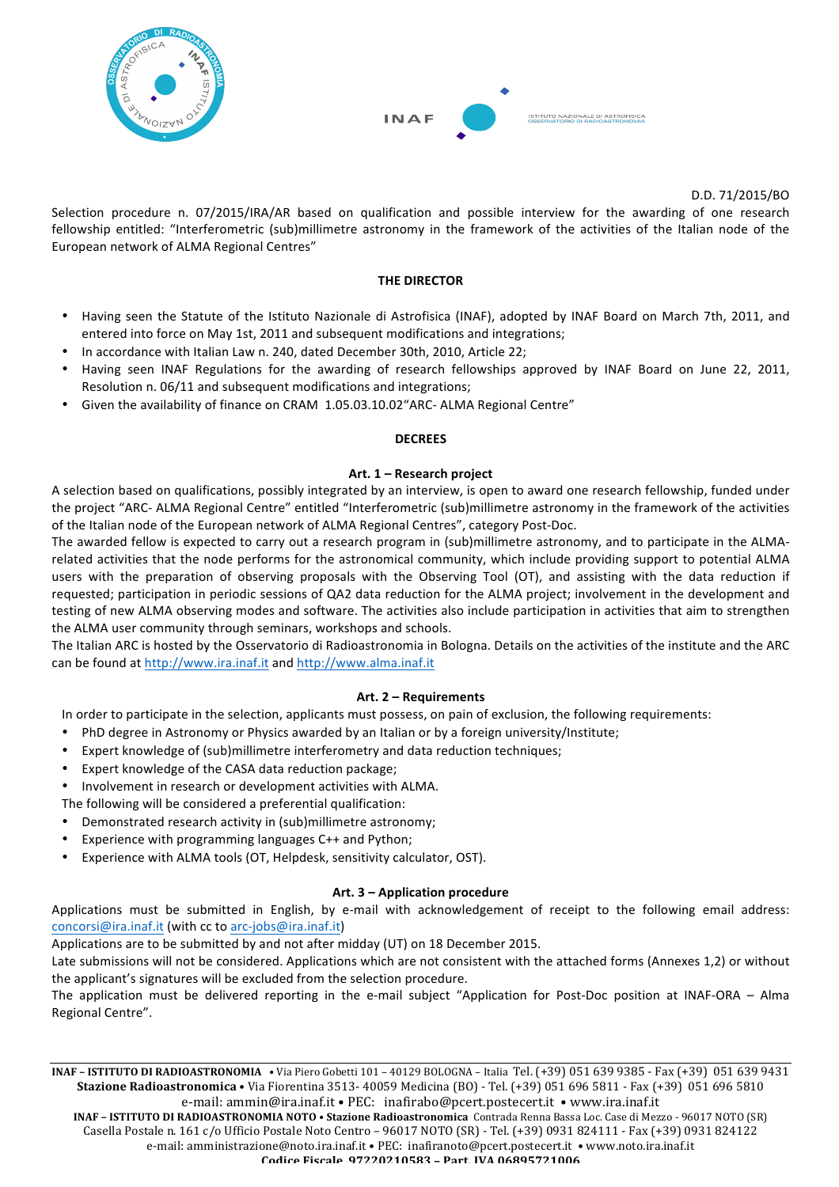



D.D.!71/2015/BO

Selection procedure n. 07/2015/IRA/AR based on qualification and possible interview for the awarding of one research fellowship entitled: "Interferometric (sub)millimetre astronomy in the framework of the activities of the Italian node of the European network of ALMA Regional Centres"

#### **THE!DIRECTOR**

- Having seen the Statute of the Istituto Nazionale di Astrofisica (INAF), adopted by INAF Board on March 7th, 2011, and entered into force on May 1st, 2011 and subsequent modifications and integrations;
- In accordance with Italian Law n. 240, dated December 30th, 2010, Article 22;
- Having seen INAF Regulations for the awarding of research fellowships approved by INAF Board on June 22, 2011, Resolution n. 06/11 and subsequent modifications and integrations;
- Given the availability of finance on CRAM 1.05.03.10.02"ARC- ALMA Regional Centre"

#### **DECREES**

#### Art. 1 – Research project

A selection based on qualifications, possibly integrated by an interview, is open to award one research fellowship, funded under the project "ARC- ALMA Regional Centre" entitled "Interferometric (sub)millimetre astronomy in the framework of the activities of the Italian node of the European network of ALMA Regional Centres", category Post-Doc.

The awarded fellow is expected to carry out a research program in (sub)millimetre astronomy, and to participate in the ALMArelated activities that the node performs for the astronomical community, which include providing support to potential ALMA users with the preparation of observing proposals with the Observing Tool (OT), and assisting with the data reduction if requested; participation in periodic sessions of QA2 data reduction for the ALMA project; involvement in the development and testing of new ALMA observing modes and software. The activities also include participation in activities that aim to strengthen the ALMA user community through seminars, workshops and schools.

The Italian ARC is hosted by the Osservatorio di Radioastronomia in Bologna. Details on the activities of the institute and the ARC can be found at http://www.ira.inaf.it and http://www.alma.inaf.it

### **Art.!2!– Requirements**

In order to participate in the selection, applicants must possess, on pain of exclusion, the following requirements:

- PhD degree in Astronomy or Physics awarded by an Italian or by a foreign university/Institute;
- Expert knowledge of (sub)millimetre interferometry and data reduction techniques;
- Expert knowledge of the CASA data reduction package:
- Involvement in research or development activities with ALMA.

The following will be considered a preferential qualification:

- Demonstrated research activity in (sub)millimetre astronomy;
- Experience with programming languages C++ and Python;
- Experience with ALMA tools (OT, Helpdesk, sensitivity calculator, OST).

### **Art.!3!– Application!procedure**

Applications must be submitted in English, by e-mail with acknowledgement of receipt to the following email address: concorsi@ira.inaf.it (with cc to arc-jobs@ira.inaf.it)

Applications are to be submitted by and not after midday (UT) on 18 December 2015.

Late submissions will not be considered. Applications which are not consistent with the attached forms (Annexes 1,2) or without the applicant's signatures will be excluded from the selection procedure.

The application must be delivered reporting in the e-mail subject "Application for Post-Doc position at INAF-ORA – Alma Regional Centre".

**INAF – ISTITUTO DI RADIOASTRONOMIA • Via Piero Gobetti 101 – 40129 BOLOGNA – Italia Tel. (+39) 051 639 9385 - Fax (+39) 051 639 9431 Stazione Radioastronomica • Via Fiorentina 3513- 40059 Medicina (BO) - Tel. (+39) 051 696 5811 - Fax (+39) 051 696 5810** e-mail: ammin@ira.inaf.it • PEC: inafirabo@pcert.postecert.it • www.ira.inaf.it **INAF – ISTITUTO DI RADIOASTRONOMIA NOTO • Stazione Radioastronomica Contrada Renna Bassa Loc. Case di Mezzo - 96017 NOTO (SR)** Casella Postale n. 161 c/o Ufficio Postale Noto Centro - 96017 NOTO (SR) - Tel. (+39) 0931 824111 - Fax (+39) 0931 824122 e-mail: amministrazione@noto.ira.inaf.it • PEC: inafiranoto@pcert.postecert.it • www.noto.ira.inaf.it **Codice Fiscale 97220210583%– Part.%IVA%06895721006**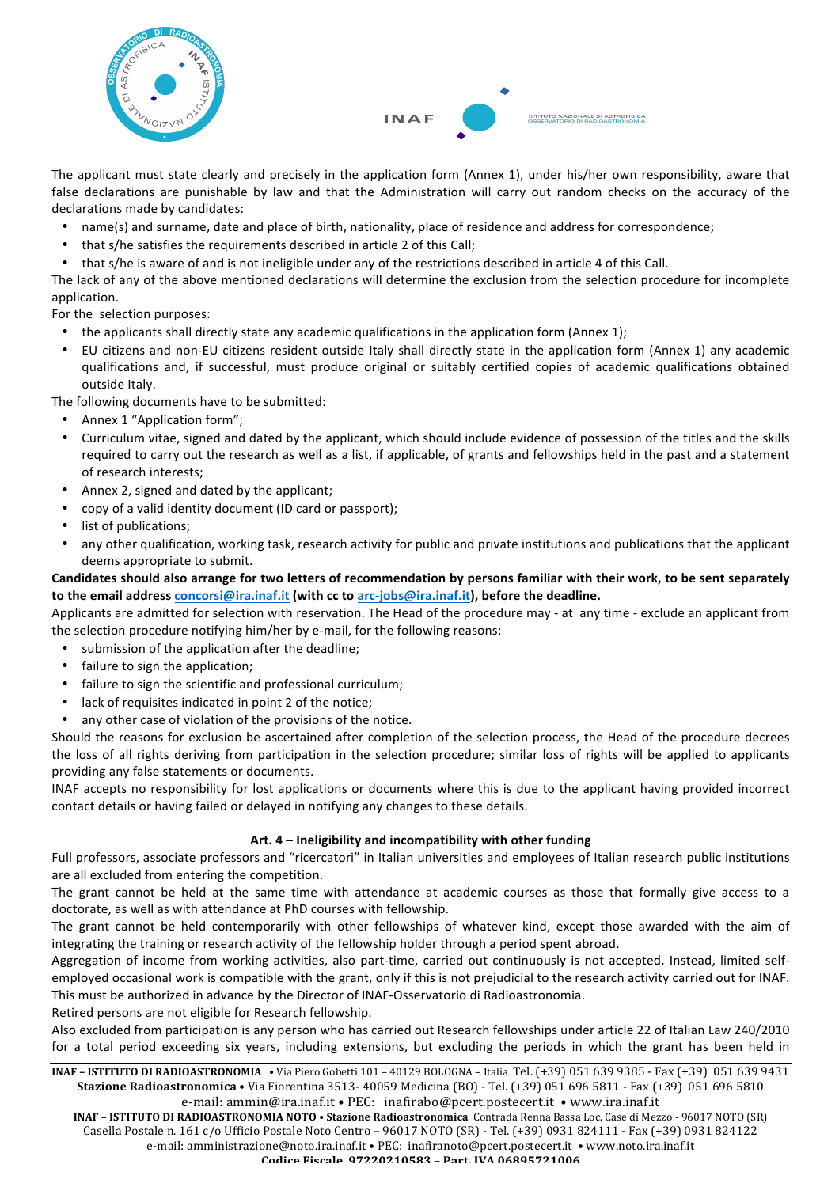



!!!!!!!!! !!!!!!!!!!!!!!!!!!!!!!!!!! !!!!!! The applicant must state clearly and precisely in the application form (Annex 1), under his/her own responsibility, aware that false declarations are punishable by law and that the Administration will carry out random checks on the accuracy of the declarations made by candidates:

- name(s) and surname, date and place of birth, nationality, place of residence and address for correspondence;
- that s/he satisfies the requirements described in article 2 of this Call:
- that s/he is aware of and is not ineligible under any of the restrictions described in article 4 of this Call.

The lack of any of the above mentioned declarations will determine the exclusion from the selection procedure for incomplete application.

For the selection purposes:

- the applicants shall directly state any academic qualifications in the application form (Annex 1);
- EU citizens and non-EU citizens resident outside Italy shall directly state in the application form (Annex 1) any academic qualifications and, if successful, must produce original or suitably certified copies of academic qualifications obtained outside Italy.

The following documents have to be submitted:

- Annex 1 "Application form";
- Curriculum vitae, signed and dated by the applicant, which should include evidence of possession of the titles and the skills required to carry out the research as well as a list, if applicable, of grants and fellowships held in the past and a statement of research interests;
- Annex 2, signed and dated by the applicant:
- copy of a valid identity document (ID card or passport);
- list of publications:
- any other qualification, working task, research activity for public and private institutions and publications that the applicant deems appropriate to submit.

## Candidates should also arrange for two letters of recommendation by persons familiar with their work, to be sent separately to the email address concorsi@ira.inaf.it (with cc to arc-jobs@ira.inaf.it), before the deadline.

Applicants are admitted for selection with reservation. The Head of the procedure may - at any time - exclude an applicant from the selection procedure notifying him/her by e-mail, for the following reasons:

- submission of the application after the deadline;
- failure to sign the application;
- failure to sign the scientific and professional curriculum;
- lack of requisites indicated in point 2 of the notice;
- any other case of violation of the provisions of the notice.

Should the reasons for exclusion be ascertained after completion of the selection process, the Head of the procedure decrees the loss of all rights deriving from participation in the selection procedure; similar loss of rights will be applied to applicants providing any false statements or documents.

INAF accepts no responsibility for lost applications or documents where this is due to the applicant having provided incorrect contact details or having failed or delayed in notifying any changes to these details.

# Art. 4 – Ineligibility and incompatibility with other funding

Full professors, associate professors and "ricercatori" in Italian universities and employees of Italian research public institutions are all excluded from entering the competition.

The grant cannot be held at the same time with attendance at academic courses as those that formally give access to a doctorate, as well as with attendance at PhD courses with fellowship.

The grant cannot be held contemporarily with other fellowships of whatever kind, except those awarded with the aim of integrating the training or research activity of the fellowship holder through a period spent abroad.

Aggregation of income from working activities, also part-time, carried out continuously is not accepted. Instead, limited selfemployed occasional work is compatible with the grant, only if this is not prejudicial to the research activity carried out for INAF. This must be authorized in advance by the Director of INAF-Osservatorio di Radioastronomia.

Retired persons are not eligible for Research fellowship.

Also excluded from participation is any person who has carried out Research fellowships under article 22 of Italian Law 240/2010 for a total period exceeding six years, including extensions, but excluding the periods in which the grant has been held in

**INAF – ISTITUTO DI RADIOASTRONOMIA • Via Piero Gobetti 101 – 40129 BOLOGNA – Italia Tel. (+39) 051 639 9385 - Fax (+39) 051 639 9431 Stazione Radioastronomica • Via Fiorentina 3513- 40059 Medicina (BO) - Tel. (+39) 051 696 5811 - Fax (+39) 051 696 5810** 

e-mail: ammin@ira.inaf.it • PEC: inafirabo@pcert.postecert.it • www.ira.inaf.it **INAF – ISTITUTO DI RADIOASTRONOMIA NOTO • Stazione Radioastronomica Contrada Renna Bassa Loc. Case di Mezzo - 96017 NOTO (SR)** Casella Postale n. 161 c/o Ufficio Postale Noto Centro - 96017 NOTO (SR) - Tel. (+39) 0931 824111 - Fax (+39) 0931 824122 e-mail: amministrazione@noto.ira.inaf.it • PEC: inafiranoto@pcert.postecert.it • www.noto.ira.inaf.it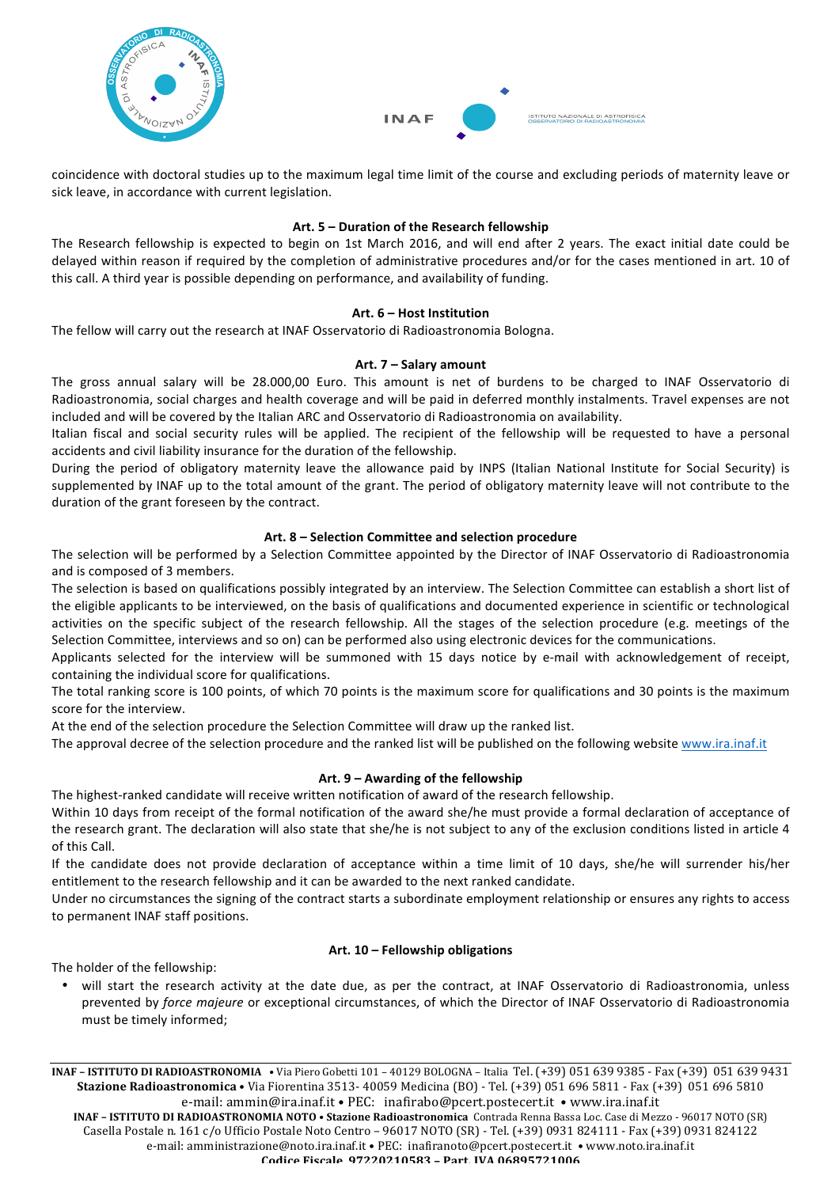



coincidence with doctoral studies up to the maximum legal time limit of the course and excluding periods of maternity leave or sick leave, in accordance with current legislation.

## Art. 5 – Duration of the Research fellowship

The Research fellowship is expected to begin on 1st March 2016, and will end after 2 years. The exact initial date could be delayed within reason if required by the completion of administrative procedures and/or for the cases mentioned in art. 10 of this call. A third year is possible depending on performance, and availability of funding.

### Art. 6 – Host Institution

The fellow will carry out the research at INAF Osservatorio di Radioastronomia Bologna.

### **Art.!7!– Salary!amount**

The gross annual salary will be 28.000,00 Euro. This amount is net of burdens to be charged to INAF Osservatorio di Radioastronomia, social charges and health coverage and will be paid in deferred monthly instalments. Travel expenses are not included and will be covered by the Italian ARC and Osservatorio di Radioastronomia on availability.

Italian fiscal and social security rules will be applied. The recipient of the fellowship will be requested to have a personal accidents and civil liability insurance for the duration of the fellowship.

During the period of obligatory maternity leave the allowance paid by INPS (Italian National Institute for Social Security) is supplemented by INAF up to the total amount of the grant. The period of obligatory maternity leave will not contribute to the duration of the grant foreseen by the contract.

## Art. 8 – Selection Committee and selection procedure

The selection will be performed by a Selection Committee appointed by the Director of INAF Osservatorio di Radioastronomia and is composed of 3 members.

The selection is based on qualifications possibly integrated by an interview. The Selection Committee can establish a short list of the eligible applicants to be interviewed, on the basis of qualifications and documented experience in scientific or technological activities on the specific subject of the research fellowship. All the stages of the selection procedure (e.g. meetings of the Selection Committee, interviews and so on) can be performed also using electronic devices for the communications.

Applicants selected for the interview will be summoned with 15 days notice by e-mail with acknowledgement of receipt, containing the individual score for qualifications.

The total ranking score is 100 points, of which 70 points is the maximum score for qualifications and 30 points is the maximum score for the interview.

At the end of the selection procedure the Selection Committee will draw up the ranked list.

The approval decree of the selection procedure and the ranked list will be published on the following website www.ira.inaf.it

# Art. 9 – Awarding of the fellowship

The highest-ranked candidate will receive written notification of award of the research fellowship.

Within 10 days from receipt of the formal notification of the award she/he must provide a formal declaration of acceptance of the research grant. The declaration will also state that she/he is not subject to any of the exclusion conditions listed in article 4 of this Call.

If the candidate does not provide declaration of acceptance within a time limit of 10 days, she/he will surrender his/her entitlement to the research fellowship and it can be awarded to the next ranked candidate.

Under no circumstances the signing of the contract starts a subordinate employment relationship or ensures any rights to access to permanent INAF staff positions.

### Art. 10 – **Fellowship obligations**

The holder of the fellowship:

• will start the research activity at the date due, as per the contract, at INAF Osservatorio di Radioastronomia, unless prevented by *force majeure* or exceptional circumstances, of which the Director of INAF Osservatorio di Radioastronomia must be timely informed;

**INAF – ISTITUTO DI RADIOASTRONOMIA • Via Piero Gobetti 101 – 40129 BOLOGNA – Italia Tel. (+39) 051 639 9385 - Fax (+39) 051 639 9431 Stazione Radioastronomica • Via Fiorentina 3513- 40059 Medicina (BO) - Tel. (+39) 051 696 5811 - Fax (+39) 051 696 5810** e-mail: ammin@ira.inaf.it • PEC: inafirabo@pcert.postecert.it • www.ira.inaf.it **INAF – ISTITUTO DI RADIOASTRONOMIA NOTO • Stazione Radioastronomica Contrada Renna Bassa Loc. Case di Mezzo - 96017 NOTO (SR)** Casella Postale n. 161 c/o Ufficio Postale Noto Centro - 96017 NOTO (SR) - Tel. (+39) 0931 824111 - Fax (+39) 0931 824122 e-mail: amministrazione@noto.ira.inaf.it • PEC: inafiranoto@pcert.postecert.it • www.noto.ira.inaf.it **Codice Fiscale 97220210583%– Part.%IVA%06895721006**